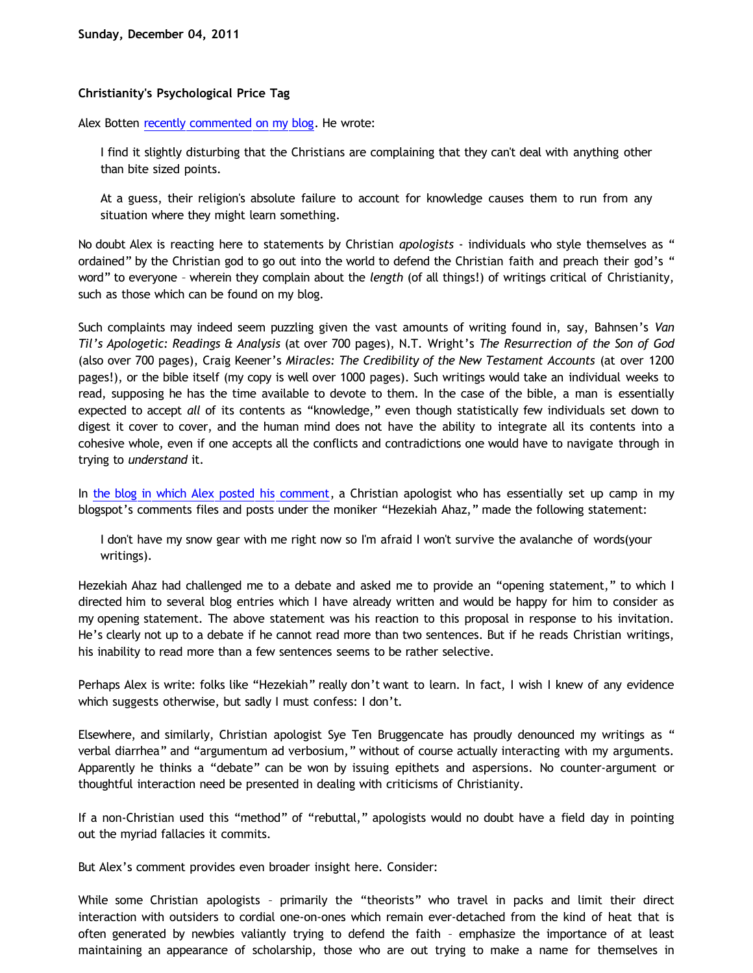## **Christianity's Psychological Price Tag**

Alex Botten [recently commented on my blog.](http://bahnsenburner.blogspot.com/2011/12/christianitys-sanction-of-evil.html) He wrote:

I find it slightly disturbing that the Christians are complaining that they can't deal with anything other than bite sized points.

At a guess, their religion's absolute failure to account for knowledge causes them to run from any situation where they might learn something.

No doubt Alex is reacting here to statements by Christian *apologists* - individuals who style themselves as " ordained" by the Christian god to go out into the world to defend the Christian faith and preach their god's " word" to everyone – wherein they complain about the *length* (of all things!) of writings critical of Christianity, such as those which can be found on my blog.

Such complaints may indeed seem puzzling given the vast amounts of writing found in, say, Bahnsen's *Van Til's Apologetic: Readings & Analysis* (at over 700 pages), N.T. Wright's *The Resurrection of the Son of God* (also over 700 pages), Craig Keener's *Miracles: The Credibility of the New Testament Accounts* (at over 1200 pages!), or the bible itself (my copy is well over 1000 pages). Such writings would take an individual weeks to read, supposing he has the time available to devote to them. In the case of the bible, a man is essentially expected to accept *all* of its contents as "knowledge," even though statistically few individuals set down to digest it cover to cover, and the human mind does not have the ability to integrate all its contents into a cohesive whole, even if one accepts all the conflicts and contradictions one would have to navigate through in trying to *understand* it.

In [the blog in which Alex posted his comment](http://bahnsenburner.blogspot.com/2011/12/christianitys-sanction-of-evil.html), a Christian apologist who has essentially set up camp in my blogspot's comments files and posts under the moniker "Hezekiah Ahaz," made the following statement:

I don't have my snow gear with me right now so I'm afraid I won't survive the avalanche of words(your writings).

Hezekiah Ahaz had challenged me to a debate and asked me to provide an "opening statement," to which I directed him to several blog entries which I have already written and would be happy for him to consider as my opening statement. The above statement was his reaction to this proposal in response to his invitation. He's clearly not up to a debate if he cannot read more than two sentences. But if he reads Christian writings, his inability to read more than a few sentences seems to be rather selective.

Perhaps Alex is write: folks like "Hezekiah" really don't want to learn. In fact, I wish I knew of any evidence which suggests otherwise, but sadly I must confess: I don't.

Elsewhere, and similarly, Christian apologist Sye Ten Bruggencate has proudly denounced my writings as " verbal diarrhea" and "argumentum ad verbosium," without of course actually interacting with my arguments. Apparently he thinks a "debate" can be won by issuing epithets and aspersions. No counter-argument or thoughtful interaction need be presented in dealing with criticisms of Christianity.

If a non-Christian used this "method" of "rebuttal," apologists would no doubt have a field day in pointing out the myriad fallacies it commits.

But Alex's comment provides even broader insight here. Consider:

While some Christian apologists – primarily the "theorists" who travel in packs and limit their direct interaction with outsiders to cordial one-on-ones which remain ever-detached from the kind of heat that is often generated by newbies valiantly trying to defend the faith – emphasize the importance of at least maintaining an appearance of scholarship, those who are out trying to make a name for themselves in